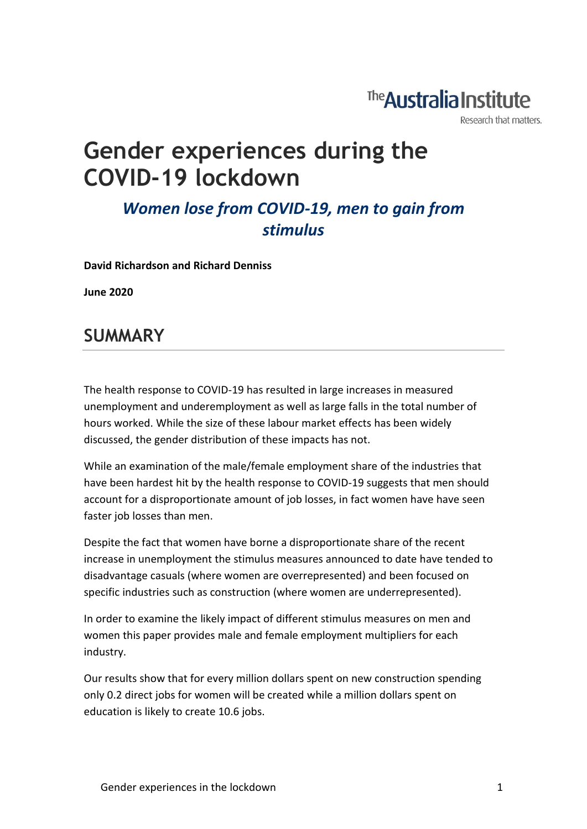# The **Australia Institute**

Research that matters.

# **Gender experiences during the COVID-19 lockdown**

### *Women lose from COVID-19, men to gain from stimulus*

**David Richardson and Richard Denniss**

**June 2020**

### **SUMMARY**

The health response to COVID-19 has resulted in large increases in measured unemployment and underemployment as well as large falls in the total number of hours worked. While the size of these labour market effects has been widely discussed, the gender distribution of these impacts has not.

While an examination of the male/female employment share of the industries that have been hardest hit by the health response to COVID-19 suggests that men should account for a disproportionate amount of job losses, in fact women have have seen faster job losses than men.

Despite the fact that women have borne a disproportionate share of the recent increase in unemployment the stimulus measures announced to date have tended to disadvantage casuals (where women are overrepresented) and been focused on specific industries such as construction (where women are underrepresented).

In order to examine the likely impact of different stimulus measures on men and women this paper provides male and female employment multipliers for each industry.

Our results show that for every million dollars spent on new construction spending only 0.2 direct jobs for women will be created while a million dollars spent on education is likely to create 10.6 jobs.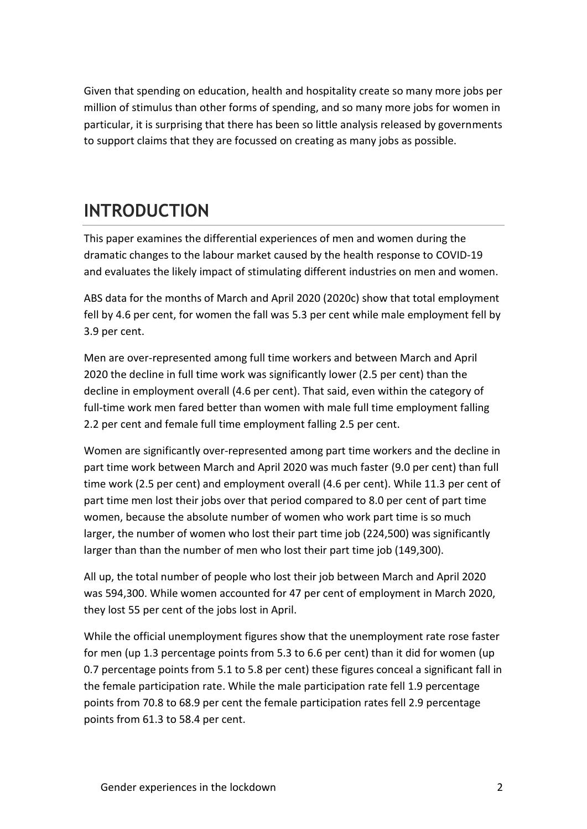Given that spending on education, health and hospitality create so many more jobs per million of stimulus than other forms of spending, and so many more jobs for women in particular, it is surprising that there has been so little analysis released by governments to support claims that they are focussed on creating as many jobs as possible.

## **INTRODUCTION**

This paper examines the differential experiences of men and women during the dramatic changes to the labour market caused by the health response to COVID-19 and evaluates the likely impact of stimulating different industries on men and women.

ABS data for the months of March and April 2020 (2020c) show that total employment fell by 4.6 per cent, for women the fall was 5.3 per cent while male employment fell by 3.9 per cent.

Men are over-represented among full time workers and between March and April 2020 the decline in full time work was significantly lower (2.5 per cent) than the decline in employment overall (4.6 per cent). That said, even within the category of full-time work men fared better than women with male full time employment falling 2.2 per cent and female full time employment falling 2.5 per cent.

Women are significantly over-represented among part time workers and the decline in part time work between March and April 2020 was much faster (9.0 per cent) than full time work (2.5 per cent) and employment overall (4.6 per cent). While 11.3 per cent of part time men lost their jobs over that period compared to 8.0 per cent of part time women, because the absolute number of women who work part time is so much larger, the number of women who lost their part time job (224,500) was significantly larger than than the number of men who lost their part time job (149,300).

All up, the total number of people who lost their job between March and April 2020 was 594,300. While women accounted for 47 per cent of employment in March 2020, they lost 55 per cent of the jobs lost in April.

While the official unemployment figures show that the unemployment rate rose faster for men (up 1.3 percentage points from 5.3 to 6.6 per cent) than it did for women (up 0.7 percentage points from 5.1 to 5.8 per cent) these figures conceal a significant fall in the female participation rate. While the male participation rate fell 1.9 percentage points from 70.8 to 68.9 per cent the female participation rates fell 2.9 percentage points from 61.3 to 58.4 per cent.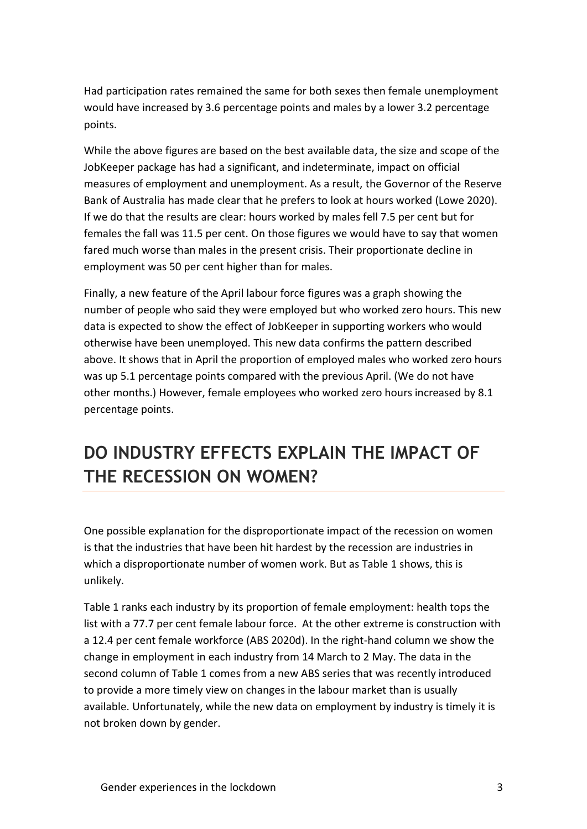Had participation rates remained the same for both sexes then female unemployment would have increased by 3.6 percentage points and males by a lower 3.2 percentage points.

While the above figures are based on the best available data, the size and scope of the JobKeeper package has had a significant, and indeterminate, impact on official measures of employment and unemployment. As a result, the Governor of the Reserve Bank of Australia has made clear that he prefers to look at hours worked (Lowe 2020). If we do that the results are clear: hours worked by males fell 7.5 per cent but for females the fall was 11.5 per cent. On those figures we would have to say that women fared much worse than males in the present crisis. Their proportionate decline in employment was 50 per cent higher than for males.

Finally, a new feature of the April labour force figures was a graph showing the number of people who said they were employed but who worked zero hours. This new data is expected to show the effect of JobKeeper in supporting workers who would otherwise have been unemployed. This new data confirms the pattern described above. It shows that in April the proportion of employed males who worked zero hours was up 5.1 percentage points compared with the previous April. (We do not have other months.) However, female employees who worked zero hours increased by 8.1 percentage points.

## **DO INDUSTRY EFFECTS EXPLAIN THE IMPACT OF THE RECESSION ON WOMEN?**

One possible explanation for the disproportionate impact of the recession on women is that the industries that have been hit hardest by the recession are industries in which a disproportionate number of women work. But as Table 1 shows, this is unlikely.

Table 1 ranks each industry by its proportion of female employment: health tops the list with a 77.7 per cent female labour force. At the other extreme is construction with a 12.4 per cent female workforce (ABS 2020d). In the right-hand column we show the change in employment in each industry from 14 March to 2 May. The data in the second column of Table 1 comes from a new ABS series that was recently introduced to provide a more timely view on changes in the labour market than is usually available. Unfortunately, while the new data on employment by industry is timely it is not broken down by gender.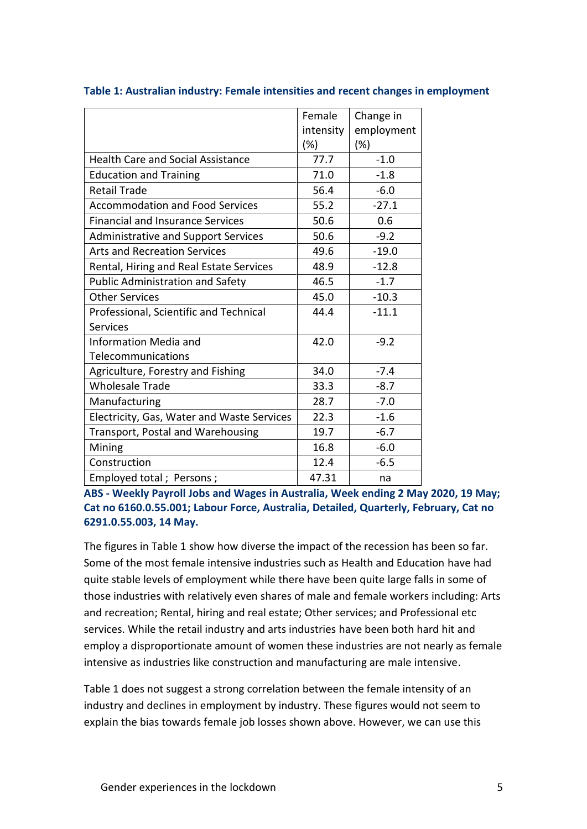|                                            | Female    | Change in  |
|--------------------------------------------|-----------|------------|
|                                            | intensity | employment |
|                                            | $(\%)$    | (%)        |
| <b>Health Care and Social Assistance</b>   | 77.7      | $-1.0$     |
| <b>Education and Training</b>              | 71.0      | $-1.8$     |
| <b>Retail Trade</b>                        | 56.4      | $-6.0$     |
| <b>Accommodation and Food Services</b>     | 55.2      | $-27.1$    |
| <b>Financial and Insurance Services</b>    | 50.6      | 0.6        |
| <b>Administrative and Support Services</b> | 50.6      | $-9.2$     |
| <b>Arts and Recreation Services</b>        | 49.6      | $-19.0$    |
| Rental, Hiring and Real Estate Services    | 48.9      | $-12.8$    |
| <b>Public Administration and Safety</b>    | 46.5      | $-1.7$     |
| <b>Other Services</b>                      | 45.0      | $-10.3$    |
| Professional, Scientific and Technical     | 44.4      | $-11.1$    |
| <b>Services</b>                            |           |            |
| <b>Information Media and</b>               | 42.0      | $-9.2$     |
| Telecommunications                         |           |            |
| Agriculture, Forestry and Fishing          | 34.0      | $-7.4$     |
| <b>Wholesale Trade</b>                     | 33.3      | $-8.7$     |
| Manufacturing                              | 28.7      | $-7.0$     |
| Electricity, Gas, Water and Waste Services | 22.3      | $-1.6$     |
| Transport, Postal and Warehousing          | 19.7      | $-6.7$     |
| Mining                                     | 16.8      | $-6.0$     |
| Construction                               | 12.4      | $-6.5$     |
| Employed total; Persons;                   | 47.31     | na         |

#### **Table 1: Australian industry: Female intensities and recent changes in employment**

**ABS - Weekly Payroll Jobs and Wages in Australia, Week ending 2 May 2020, 19 May; Cat no 6160.0.55.001; Labour Force, Australia, Detailed, Quarterly, February, Cat no 6291.0.55.003, 14 May.**

The figures in Table 1 show how diverse the impact of the recession has been so far. Some of the most female intensive industries such as Health and Education have had quite stable levels of employment while there have been quite large falls in some of those industries with relatively even shares of male and female workers including: Arts and recreation; Rental, hiring and real estate; Other services; and Professional etc services. While the retail industry and arts industries have been both hard hit and employ a disproportionate amount of women these industries are not nearly as female intensive as industries like construction and manufacturing are male intensive.

Table 1 does not suggest a strong correlation between the female intensity of an industry and declines in employment by industry. These figures would not seem to explain the bias towards female job losses shown above. However, we can use this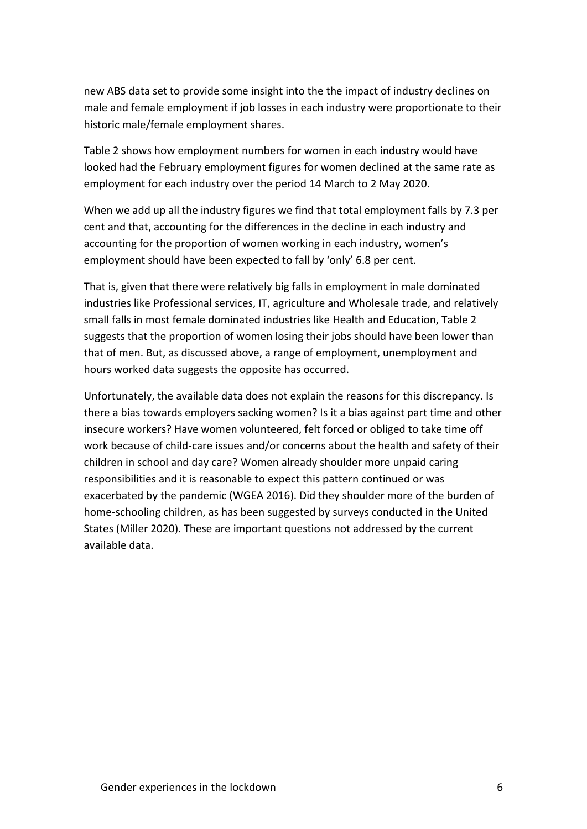new ABS data set to provide some insight into the the impact of industry declines on male and female employment if job losses in each industry were proportionate to their historic male/female employment shares.

Table 2 shows how employment numbers for women in each industry would have looked had the February employment figures for women declined at the same rate as employment for each industry over the period 14 March to 2 May 2020.

When we add up all the industry figures we find that total employment falls by 7.3 per cent and that, accounting for the differences in the decline in each industry and accounting for the proportion of women working in each industry, women's employment should have been expected to fall by 'only' 6.8 per cent.

That is, given that there were relatively big falls in employment in male dominated industries like Professional services, IT, agriculture and Wholesale trade, and relatively small falls in most female dominated industries like Health and Education, Table 2 suggests that the proportion of women losing their jobs should have been lower than that of men. But, as discussed above, a range of employment, unemployment and hours worked data suggests the opposite has occurred.

Unfortunately, the available data does not explain the reasons for this discrepancy. Is there a bias towards employers sacking women? Is it a bias against part time and other insecure workers? Have women volunteered, felt forced or obliged to take time off work because of child-care issues and/or concerns about the health and safety of their children in school and day care? Women already shoulder more unpaid caring responsibilities and it is reasonable to expect this pattern continued or was exacerbated by the pandemic (WGEA 2016). Did they shoulder more of the burden of home-schooling children, as has been suggested by surveys conducted in the United States (Miller 2020). These are important questions not addressed by the current available data.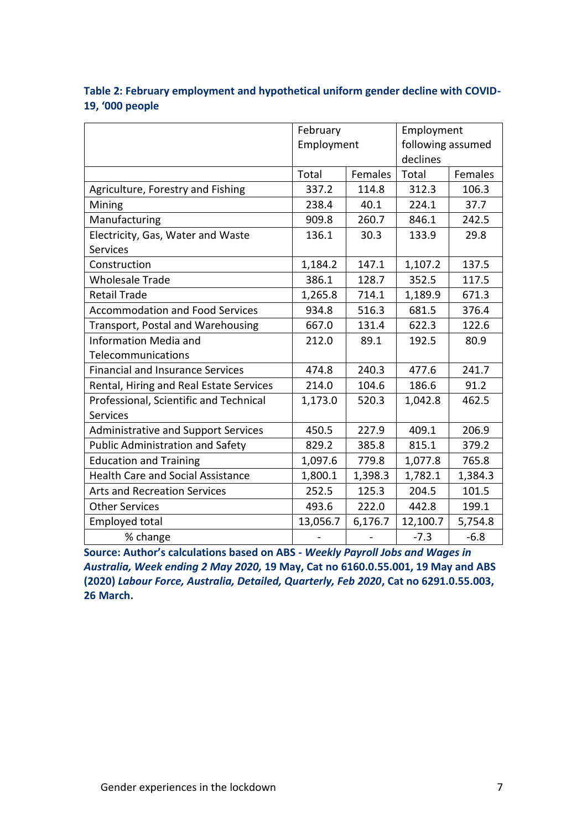|                                            | February   |         | Employment        |         |
|--------------------------------------------|------------|---------|-------------------|---------|
|                                            | Employment |         | following assumed |         |
|                                            |            |         | declines          |         |
|                                            | Total      | Females | Total             | Females |
| Agriculture, Forestry and Fishing          | 337.2      | 114.8   | 312.3             | 106.3   |
| Mining                                     | 238.4      | 40.1    | 224.1             | 37.7    |
| Manufacturing                              | 909.8      | 260.7   | 846.1             | 242.5   |
| Electricity, Gas, Water and Waste          | 136.1      | 30.3    | 133.9             | 29.8    |
| <b>Services</b>                            |            |         |                   |         |
| Construction                               | 1,184.2    | 147.1   | 1,107.2           | 137.5   |
| <b>Wholesale Trade</b>                     | 386.1      | 128.7   | 352.5             | 117.5   |
| <b>Retail Trade</b>                        | 1,265.8    | 714.1   | 1,189.9           | 671.3   |
| <b>Accommodation and Food Services</b>     | 934.8      | 516.3   | 681.5             | 376.4   |
| Transport, Postal and Warehousing          | 667.0      | 131.4   | 622.3             | 122.6   |
| <b>Information Media and</b>               | 212.0      | 89.1    | 192.5             | 80.9    |
| Telecommunications                         |            |         |                   |         |
| <b>Financial and Insurance Services</b>    | 474.8      | 240.3   | 477.6             | 241.7   |
| Rental, Hiring and Real Estate Services    | 214.0      | 104.6   | 186.6             | 91.2    |
| Professional, Scientific and Technical     | 1,173.0    | 520.3   | 1,042.8           | 462.5   |
| <b>Services</b>                            |            |         |                   |         |
| <b>Administrative and Support Services</b> | 450.5      | 227.9   | 409.1             | 206.9   |
| <b>Public Administration and Safety</b>    | 829.2      | 385.8   | 815.1             | 379.2   |
| <b>Education and Training</b>              | 1,097.6    | 779.8   | 1,077.8           | 765.8   |
| <b>Health Care and Social Assistance</b>   | 1,800.1    | 1,398.3 | 1,782.1           | 1,384.3 |
| <b>Arts and Recreation Services</b>        | 252.5      | 125.3   | 204.5             | 101.5   |
| <b>Other Services</b>                      | 493.6      | 222.0   | 442.8             | 199.1   |
| <b>Employed total</b>                      | 13,056.7   | 6,176.7 | 12,100.7          | 5,754.8 |
| % change                                   |            |         | $-7.3$            | $-6.8$  |

#### **Table 2: February employment and hypothetical uniform gender decline with COVID-19, '000 people**

**Source: Author's calculations based on ABS -** *Weekly Payroll Jobs and Wages in Australia, Week ending 2 May 2020,* **19 May, Cat no 6160.0.55.001, 19 May and ABS (2020)** *Labour Force, Australia, Detailed, Quarterly, Feb 2020***, Cat no 6291.0.55.003, 26 March.**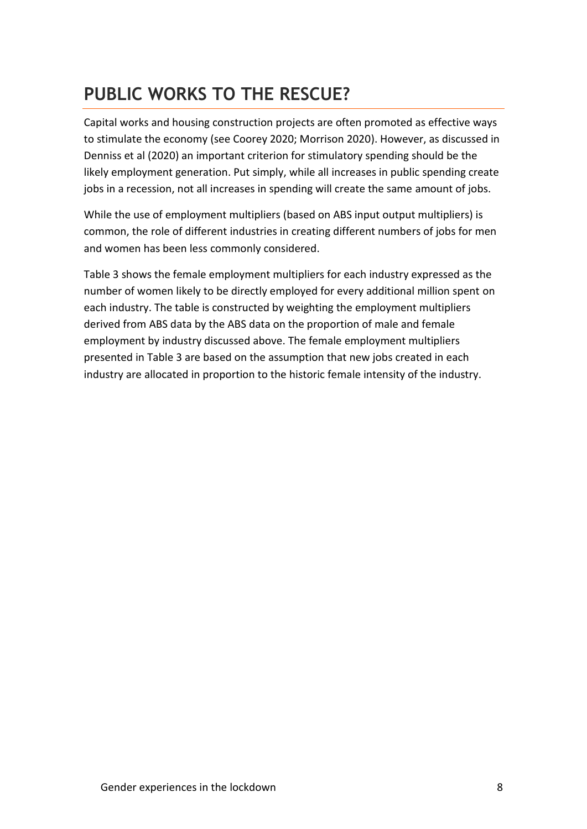# **PUBLIC WORKS TO THE RESCUE?**

Capital works and housing construction projects are often promoted as effective ways to stimulate the economy (see Coorey 2020; Morrison 2020). However, as discussed in Denniss et al (2020) an important criterion for stimulatory spending should be the likely employment generation. Put simply, while all increases in public spending create jobs in a recession, not all increases in spending will create the same amount of jobs.

While the use of employment multipliers (based on ABS input output multipliers) is common, the role of different industries in creating different numbers of jobs for men and women has been less commonly considered.

Table 3 shows the female employment multipliers for each industry expressed as the number of women likely to be directly employed for every additional million spent on each industry. The table is constructed by weighting the employment multipliers derived from ABS data by the ABS data on the proportion of male and female employment by industry discussed above. The female employment multipliers presented in Table 3 are based on the assumption that new jobs created in each industry are allocated in proportion to the historic female intensity of the industry.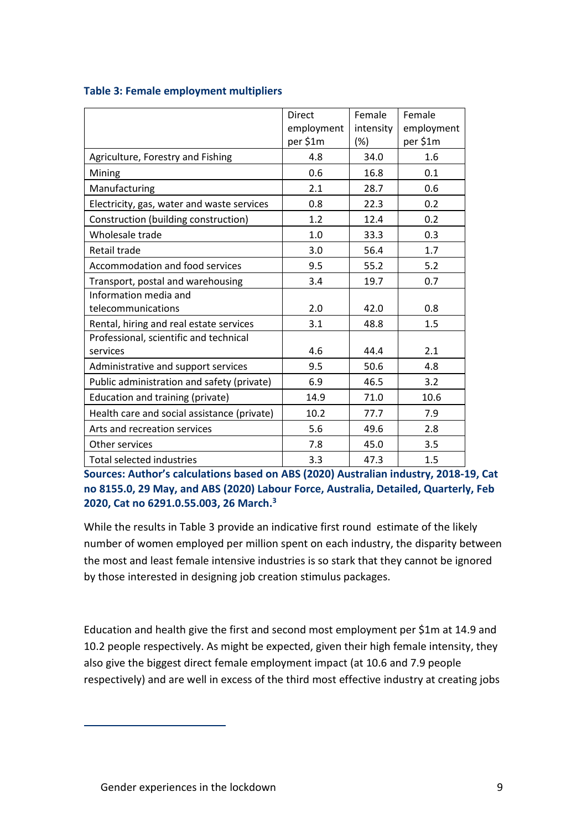|                                             | <b>Direct</b><br>employment | Female<br>intensity | Female<br>employment |
|---------------------------------------------|-----------------------------|---------------------|----------------------|
|                                             | per \$1m                    | $(\%)$              | per \$1m             |
| Agriculture, Forestry and Fishing           | 4.8                         | 34.0                | 1.6                  |
| Mining                                      | 0.6                         | 16.8                | 0.1                  |
| Manufacturing                               | 2.1                         | 28.7                | 0.6                  |
| Electricity, gas, water and waste services  | 0.8                         | 22.3                | 0.2                  |
| Construction (building construction)        | 1.2                         | 12.4                | 0.2                  |
| Wholesale trade                             | 1.0                         | 33.3                | 0.3                  |
| Retail trade                                | 3.0                         | 56.4                | 1.7                  |
| Accommodation and food services             | 9.5                         | 55.2                | 5.2                  |
| Transport, postal and warehousing           | 3.4                         | 19.7                | 0.7                  |
| Information media and                       |                             |                     |                      |
| telecommunications                          | 2.0                         | 42.0                | 0.8                  |
| Rental, hiring and real estate services     | 3.1                         | 48.8                | 1.5                  |
| Professional, scientific and technical      |                             |                     |                      |
| services                                    | 4.6                         | 44.4                | 2.1                  |
| Administrative and support services         | 9.5                         | 50.6                | 4.8                  |
| Public administration and safety (private)  | 6.9                         | 46.5                | 3.2                  |
| Education and training (private)            | 14.9                        | 71.0                | 10.6                 |
| Health care and social assistance (private) | 10.2                        | 77.7                | 7.9                  |
| Arts and recreation services                | 5.6                         | 49.6                | 2.8                  |
| Other services                              | 7.8                         | 45.0                | 3.5                  |
| <b>Total selected industries</b>            | 3.3                         | 47.3                | 1.5                  |

#### **Table 3: Female employment multipliers**

**Sources: Author's calculations based on ABS (2020) Australian industry, 2018-19, Cat no 8155.0, 29 May, and ABS (2020) Labour Force, Australia, Detailed, Quarterly, Feb 2020, Cat no 6291.0.55.003, 26 March.<sup>3</sup>**

While the results in Table 3 provide an indicative first round estimate of the likely number of women employed per million spent on each industry, the disparity between the most and least female intensive industries is so stark that they cannot be ignored by those interested in designing job creation stimulus packages.

Education and health give the first and second most employment per \$1m at 14.9 and 10.2 people respectively. As might be expected, given their high female intensity, they also give the biggest direct female employment impact (at 10.6 and 7.9 people respectively) and are well in excess of the third most effective industry at creating jobs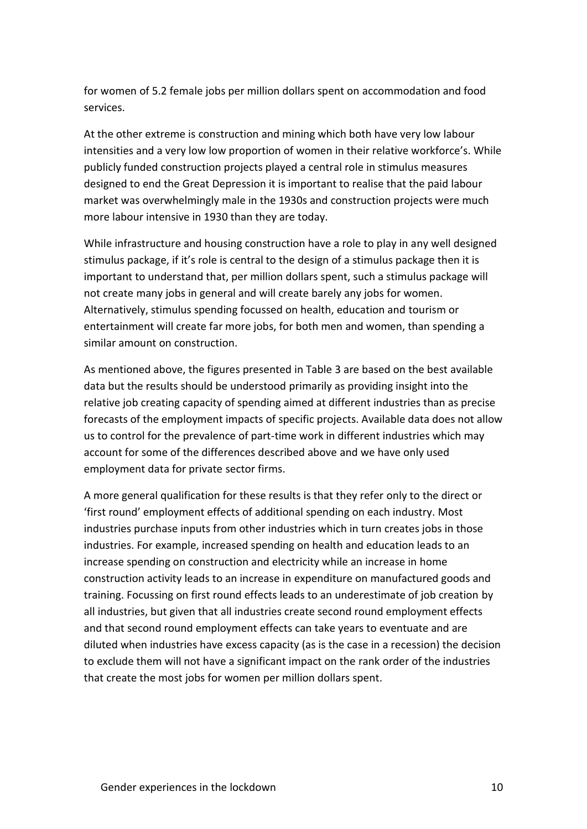for women of 5.2 female jobs per million dollars spent on accommodation and food services.

At the other extreme is construction and mining which both have very low labour intensities and a very low low proportion of women in their relative workforce's. While publicly funded construction projects played a central role in stimulus measures designed to end the Great Depression it is important to realise that the paid labour market was overwhelmingly male in the 1930s and construction projects were much more labour intensive in 1930 than they are today.

While infrastructure and housing construction have a role to play in any well designed stimulus package, if it's role is central to the design of a stimulus package then it is important to understand that, per million dollars spent, such a stimulus package will not create many jobs in general and will create barely any jobs for women. Alternatively, stimulus spending focussed on health, education and tourism or entertainment will create far more jobs, for both men and women, than spending a similar amount on construction.

As mentioned above, the figures presented in Table 3 are based on the best available data but the results should be understood primarily as providing insight into the relative job creating capacity of spending aimed at different industries than as precise forecasts of the employment impacts of specific projects. Available data does not allow us to control for the prevalence of part-time work in different industries which may account for some of the differences described above and we have only used employment data for private sector firms.

A more general qualification for these results is that they refer only to the direct or 'first round' employment effects of additional spending on each industry. Most industries purchase inputs from other industries which in turn creates jobs in those industries. For example, increased spending on health and education leads to an increase spending on construction and electricity while an increase in home construction activity leads to an increase in expenditure on manufactured goods and training. Focussing on first round effects leads to an underestimate of job creation by all industries, but given that all industries create second round employment effects and that second round employment effects can take years to eventuate and are diluted when industries have excess capacity (as is the case in a recession) the decision to exclude them will not have a significant impact on the rank order of the industries that create the most jobs for women per million dollars spent.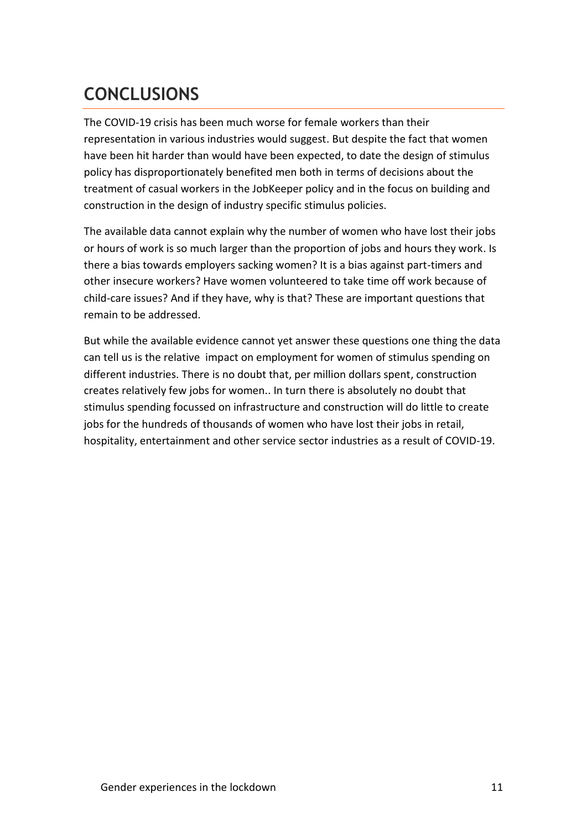# **CONCLUSIONS**

The COVID-19 crisis has been much worse for female workers than their representation in various industries would suggest. But despite the fact that women have been hit harder than would have been expected, to date the design of stimulus policy has disproportionately benefited men both in terms of decisions about the treatment of casual workers in the JobKeeper policy and in the focus on building and construction in the design of industry specific stimulus policies.

The available data cannot explain why the number of women who have lost their jobs or hours of work is so much larger than the proportion of jobs and hours they work. Is there a bias towards employers sacking women? It is a bias against part-timers and other insecure workers? Have women volunteered to take time off work because of child-care issues? And if they have, why is that? These are important questions that remain to be addressed.

But while the available evidence cannot yet answer these questions one thing the data can tell us is the relative impact on employment for women of stimulus spending on different industries. There is no doubt that, per million dollars spent, construction creates relatively few jobs for women.. In turn there is absolutely no doubt that stimulus spending focussed on infrastructure and construction will do little to create jobs for the hundreds of thousands of women who have lost their jobs in retail, hospitality, entertainment and other service sector industries as a result of COVID-19.